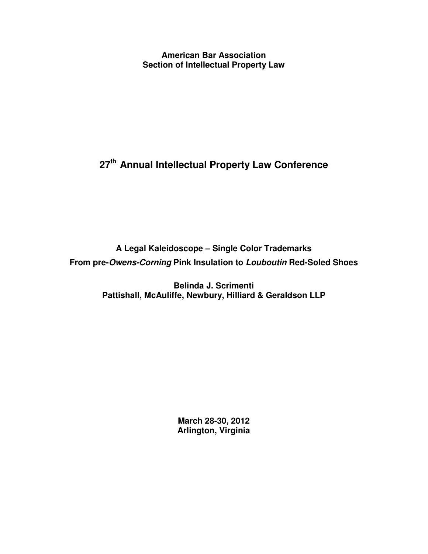**American Bar Association Section of Intellectual Property Law**

# **27 th Annual Intellectual Property Law Conference**

**A Legal Kaleidoscope – Single Color Trademarks From pre-***Owens-Corning* **Pink Insulation to** *Louboutin* **Red-Soled Shoes**

> **Belinda J. Scrimenti Pattishall, McAuliffe, Newbury, Hilliard & Geraldson LLP**

> > **March 28-30, 2012 Arlington, Virginia**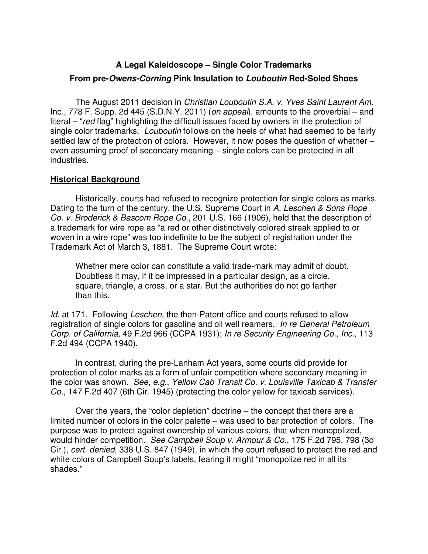# **A Legal Kaleidoscope – Single Color Trademarks**

#### **From pre-***Owens-Corning* **Pink Insulation to** *Louboutin* **Red-Soled Shoes**

The August 2011 decision in *Christian Louboutin S.A. v. Yves Saint Laurent Am.* Inc., 778 F. Supp. 2d 445 (S.D.N.Y. 2011) (*on appeal*), amounts to the proverbial – and literal – "*red* flag" highlighting the difficult issues faced by owners in the protection of single color trademarks. *Louboutin* follows on the heels of what had seemed to be fairly settled law of the protection of colors. However, it now poses the question of whether – even assuming proof of secondary meaning – single colors can be protected in all industries.

#### **Historical Background**

Historically, courts had refused to recognize protection for single colors as marks. Dating to the turn of the century, the U.S. Supreme Court in *A. Leschen & Sons Rope Co. v. Broderick & Bascom Rope Co.*, 201 U.S. 166 (1906), held that the description of a trademark for wire rope as "a red or other distinctively colored streak applied to or woven in a wire rope" was too indefinite to be the subject of registration under the Trademark Act of March 3, 1881. The Supreme Court wrote:

Whether mere color can constitute a valid trade-mark may admit of doubt. Doubtless it may, if it be impressed in a particular design, as a circle, square, triangle, a cross, or a star. But the authorities do not go farther than this.

*Id.* at 171. Following *Leschen*, the then-Patent office and courts refused to allow registration of single colors for gasoline and oil well reamers. *In re General Petroleum Corp. of California,* 49 F.2d 966 (CCPA 1931); *In re Security Engineering Co., Inc.,* 113 F.2d 494 (CCPA 1940).

In contrast, during the pre-Lanham Act years, some courts did provide for protection of color marks as a form of unfair competition where secondary meaning in the color was shown. *See*, *e.g.*, *Yellow Cab Transit Co. v. Louisville Taxicab & Transfer Co.,* 147 F.2d 407 (6th Cir. 1945) (protecting the color yellow for taxicab services).

Over the years, the "color depletion" doctrine – the concept that there are a limited number of colors in the color palette – was used to bar protection of colors. The purpose was to protect against ownership of various colors, that when monopolized, would hinder competition. *See Campbell Soup v. Armour & Co.*, 175 F.2d 795, 798 (3d Cir.), *cert. denied*, 338 U.S. 847 (1949), in which the court refused to protect the red and white colors of Campbell Soup's labels, fearing it might "monopolize red in all its shades."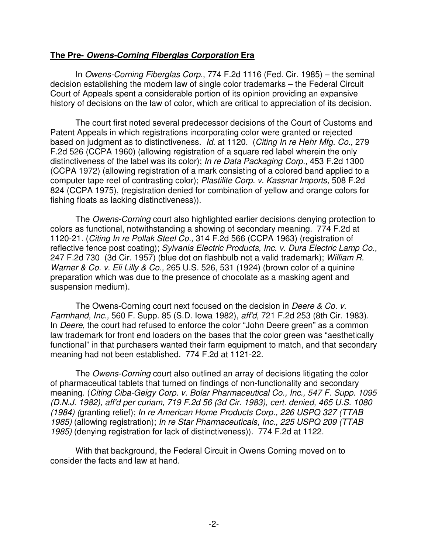#### **The Pre-** *Owens-Corning Fiberglas Corporation* **Era**

In *Owens-Corning Fiberglas Corp.*, 774 F.2d 1116 (Fed. Cir. 1985) – the seminal decision establishing the modern law of single color trademarks – the Federal Circuit Court of Appeals spent a considerable portion of its opinion providing an expansive history of decisions on the law of color, which are critical to appreciation of its decision.

The court first noted several predecessor decisions of the Court of Customs and Patent Appeals in which registrations incorporating color were granted or rejected based on judgment as to distinctiveness. *Id.* at 1120. (*Citing In re Hehr Mfg. Co.,* 279 F.2d 526 (CCPA 1960) (allowing registration of a square red label wherein the only distinctiveness of the label was its color); *In re Data Packaging Corp.,* 453 F.2d 1300 (CCPA 1972) (allowing registration of a mark consisting of a colored band applied to a computer tape reel of contrasting color); *Plastilite Corp. v. Kassnar Imports,* 508 F.2d 824 (CCPA 1975), (registration denied for combination of yellow and orange colors for fishing floats as lacking distinctiveness)).

The *Owens-Corning* court also highlighted earlier decisions denying protection to colors as functional, notwithstanding a showing of secondary meaning. 774 F.2d at 1120-21. (*Citing In re Pollak Steel Co.,* 314 F.2d 566 (CCPA 1963) (registration of reflective fence post coating); *Sylvania Electric Products, Inc. v. Dura Electric Lamp Co.,* 247 F.2d 730 (3d Cir. 1957) (blue dot on flashbulb not a valid trademark); *William R. Warner & Co. v. Eli Lilly & Co.,* 265 U.S. 526, 531 (1924) (brown color of a quinine preparation which was due to the presence of chocolate as a masking agent and suspension medium).

The Owens-Corning court next focused on the decision in *Deere & Co. v. Farmhand, Inc.,* 560 F. Supp. 85 (S.D. Iowa 1982), *aff'd,* 721 F.2d 253 (8th Cir. 1983). In *Deere*, the court had refused to enforce the color "John Deere green" as a common law trademark for front end loaders on the bases that the color green was "aesthetically functional" in that purchasers wanted their farm equipment to match, and that secondary meaning had not been established. 774 F.2d at 1121-22.

The *Owens-Corning* court also outlined an array of decisions litigating the color of pharmaceutical tablets that turned on findings of non-functionality and secondary meaning. (*Citing Ciba-Geigy Corp. v. Bolar Pharmaceutical Co., Inc., 547 F. Supp. 1095 (D.N.J. 1982), aff'd per curiam, 719 F.2d 56 (3d Cir. 1983), cert. denied, 465 U.S. 1080 (1984) (*granting relief); *In re American Home Products Corp., 226 USPQ 327 (TTAB 1985)* (allowing registration); *In re Star Pharmaceuticals, Inc., 225 USPQ 209 (TTAB 1985)* (denying registration for lack of distinctiveness))*.* 774 F.2d at 1122.

With that background, the Federal Circuit in Owens Corning moved on to consider the facts and law at hand.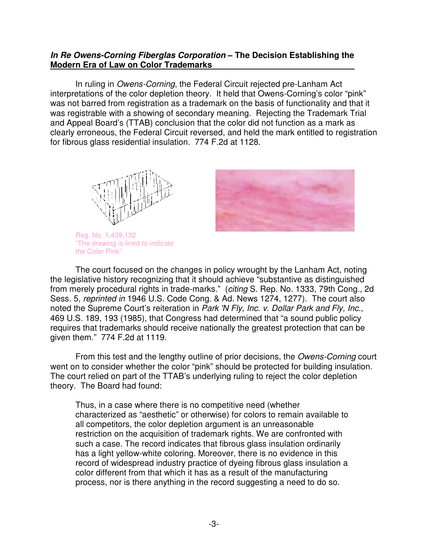#### *In Re Owens-Corning Fiberglas Corporation* **– The Decision Establishing the Modern Era of Law on Color Trademarks**

In ruling in *Owens-Corning*, the Federal Circuit rejected pre-Lanham Act interpretations of the color depletion theory. It held that Owens-Corning's color "pink" was not barred from registration as a trademark on the basis of functionality and that it was registrable with a showing of secondary meaning. Rejecting the Trademark Trial and Appeal Board's (TTAB) conclusion that the color did not function as a mark as clearly erroneous, the Federal Circuit reversed, and held the mark entitled to registration for fibrous glass residential insulation. 774 F.2d at 1128.



Reg. No. 1,439,132 "The drawing is lined to indicate the Color Pink"



The court focused on the changes in policy wrought by the Lanham Act, noting the legislative history recognizing that it should achieve "substantive as distinguished from merely procedural rights in trade-marks." (*citing* S. Rep. No. 1333, 79th Cong., 2d Sess. 5, *reprinted in* 1946 U.S. Code Cong. & Ad. News 1274, 1277). The court also noted the Supreme Court's reiteration in *Park 'N Fly, Inc. v. Dollar Park and Fly, Inc.,* 469 U.S. 189, 193 (1985), that Congress had determined that "a sound public policy requires that trademarks should receive nationally the greatest protection that can be given them." 774 F.2d at 1119.

From this test and the lengthy outline of prior decisions, the *Owens-Corning* court went on to consider whether the color "pink" should be protected for building insulation. The court relied on part of the TTAB's underlying ruling to reject the color depletion theory. The Board had found:

Thus, in a case where there is no competitive need (whether characterized as "aesthetic" or otherwise) for colors to remain available to all competitors, the color depletion argument is an unreasonable restriction on the acquisition of trademark rights. We are confronted with such a case. The record indicates that fibrous glass insulation ordinarily has a light yellow-white coloring. Moreover, there is no evidence in this record of widespread industry practice of dyeing fibrous glass insulation a color different from that which it has as a result of the manufacturing process, nor is there anything in the record suggesting a need to do so.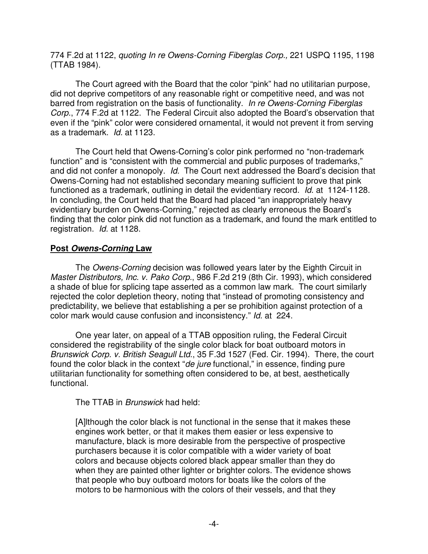774 F.2d at 1122, *quoting In re Owens-Corning Fiberglas Corp.,* 221 USPQ 1195, 1198 (TTAB 1984).

The Court agreed with the Board that the color "pink" had no utilitarian purpose, did not deprive competitors of any reasonable right or competitive need, and was not barred from registration on the basis of functionality. *In re Owens-Corning Fiberglas Corp.*, 774 F.2d at 1122. The Federal Circuit also adopted the Board's observation that even if the "pink" color were considered ornamental, it would not prevent it from serving as a trademark. *Id.* at 1123.

The Court held that Owens-Corning's color pink performed no "non-trademark function" and is "consistent with the commercial and public purposes of trademarks," and did not confer a monopoly. *Id.* The Court next addressed the Board's decision that Owens-Corning had not established secondary meaning sufficient to prove that pink functioned as a trademark, outlining in detail the evidentiary record. *Id*. at 1124-1128. In concluding, the Court held that the Board had placed "an inappropriately heavy evidentiary burden on Owens-Corning," rejected as clearly erroneous the Board's finding that the color pink did not function as a trademark, and found the mark entitled to registration. *Id.* at 1128.

# **Post** *Owens-Corning* **Law**

The *Owens-Corning* decision was followed years later by the Eighth Circuit in *Master Distributors, Inc. v. Pako Corp.*, 986 F.2d 219 (8th Cir. 1993), which considered a shade of blue for splicing tape asserted as a common law mark. The court similarly rejected the color depletion theory, noting that "instead of promoting consistency and predictability, we believe that establishing a per se prohibition against protection of a color mark would cause confusion and inconsistency." *Id.* at 224.

One year later, on appeal of a TTAB opposition ruling, the Federal Circuit considered the registrability of the single color black for boat outboard motors in *Brunswick Corp. v. British Seagull Ltd*., 35 F.3d 1527 (Fed. Cir. 1994). There, the court found the color black in the context "*de jure* functional," in essence, finding pure utilitarian functionality for something often considered to be, at best, aesthetically functional.

The TTAB in *Brunswick* had held:

[A]lthough the color black is not functional in the sense that it makes these engines work better, or that it makes them easier or less expensive to manufacture, black is more desirable from the perspective of prospective purchasers because it is color compatible with a wider variety of boat colors and because objects colored black appear smaller than they do when they are painted other lighter or brighter colors. The evidence shows that people who buy outboard motors for boats like the colors of the motors to be harmonious with the colors of their vessels, and that they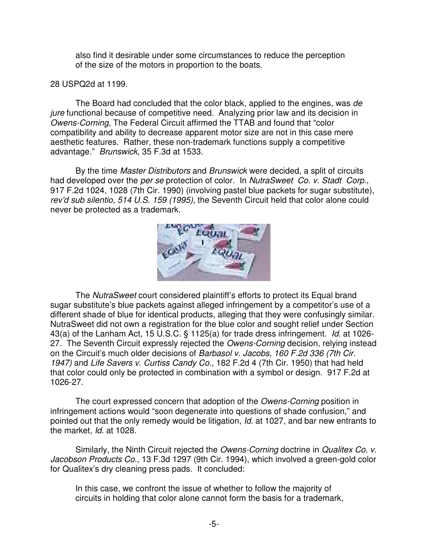also find it desirable under some circumstances to reduce the perception of the size of the motors in proportion to the boats.

## 28 USPQ2d at 1199.

The Board had concluded that the color black, applied to the engines, was *de jure* functional because of competitive need. Analyzing prior law and its decision in *Owens-Corning*, The Federal Circuit affirmed the TTAB and found that "color compatibility and ability to decrease apparent motor size are not in this case mere aesthetic features. Rather, these non-trademark functions supply a competitive advantage." *Brunswick,* 35 F.3d at 1533.

By the time *Master Distributors* and *Brunswick* were decided, a split of circuits had developed over the *per se* protection of color. In *NutraSweet Co. v. Stadt Corp.,* 917 F.2d 1024, 1028 (7th Cir. 1990) (involving pastel blue packets for sugar substitute), *rev'd sub silentio, 514 U.S. 159 (1995),* the Seventh Circuit held that color alone could never be protected as a trademark.



The *NutraSweet* court considered plaintiff's efforts to protect its Equal brand sugar substitute's blue packets against alleged infringement by a competitor's use of a different shade of blue for identical products, alleging that they were confusingly similar. NutraSweet did not own a registration for the blue color and sought relief under Section 43(a) of the Lanham Act, 15 U.S.C. § 1125(a) for trade dress infringement. *Id.* at 1026- 27. The Seventh Circuit expressly rejected the *Owens-Corning* decision, relying instead on the Circuit's much older decisions of *Barbasol v. Jacobs, 160 F.2d 336 (7th Cir. 1947)* and *Life Savers v. Curtiss Candy Co.*, 182 F.2d 4 (7th Cir. 1950) that had held that color could only be protected in combination with a symbol or design. 917 F.2d at 1026-27.

The court expressed concern that adoption of the *Owens-Corning* position in infringement actions would "soon degenerate into questions of shade confusion," and pointed out that the only remedy would be litigation, *Id.* at 1027, and bar new entrants to the market, *Id.* at 1028.

Similarly, the Ninth Circuit rejected the *Owens-Corning* doctrine in *Qualitex Co. v. Jacobson Products Co.,* 13 F.3d 1297 (9th Cir. 1994), which involved a green-gold color for Qualitex's dry cleaning press pads. It concluded:

In this case, we confront the issue of whether to follow the majority of circuits in holding that color alone cannot form the basis for a trademark,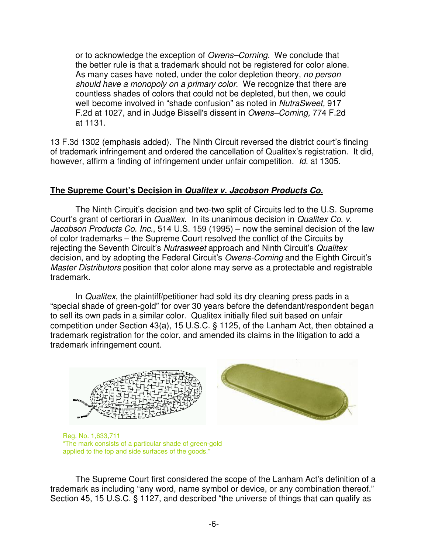or to acknowledge the exception of *Owens–Corning.* We conclude that the better rule is that a trademark should not be registered for color alone. As many cases have noted, under the color depletion theory, *no person should have a monopoly on a primary color*. We recognize that there are countless shades of colors that could not be depleted, but then, we could well become involved in "shade confusion" as noted in *NutraSweet,* 917 F.2d at 1027, and in Judge Bissell's dissent in *Owens–Corning,* 774 F.2d at 1131.

13 F.3d 1302 (emphasis added). The Ninth Circuit reversed the district court's finding of trademark infringement and ordered the cancellation of Qualitex's registration. It did, however, affirm a finding of infringement under unfair competition. *Id.* at 1305.

# **The Supreme Court's Decision in** *Qualitex v. Jacobson Products Co.*

The Ninth Circuit's decision and two-two split of Circuits led to the U.S. Supreme Court's grant of certiorari in *Qualitex*. In its unanimous decision in *Qualitex Co. v. Jacobson Products Co. Inc.*, 514 U.S. 159 (1995) – now the seminal decision of the law of color trademarks – the Supreme Court resolved the conflict of the Circuits by rejecting the Seventh Circuit's *Nutrasweet* approach and Ninth Circuit's *Qualitex* decision, and by adopting the Federal Circuit's *Owens-Corning* and the Eighth Circuit's *Master Distributors* position that color alone may serve as a protectable and registrable trademark.

In *Qualitex*, the plaintiff/petitioner had sold its dry cleaning press pads in a "special shade of green-gold" for over 30 years before the defendant/respondent began to sell its own pads in a similar color. Qualitex initially filed suit based on unfair competition under Section 43(a), 15 U.S.C. § 1125, of the Lanham Act, then obtained a trademark registration for the color, and amended its claims in the litigation to add a trademark infringement count.



Reg. No. 1,633,711 "The mark consists of a particular shade of green-gold applied to the top and side surfaces of the goods."

The Supreme Court first considered the scope of the Lanham Act's definition of a trademark as including "any word, name symbol or device, or any combination thereof." Section 45, 15 U.S.C. § 1127, and described "the universe of things that can qualify as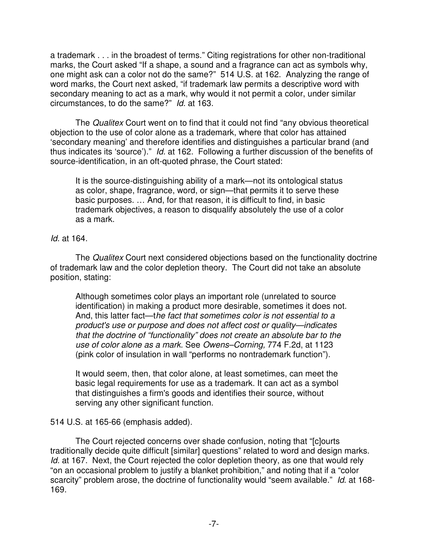a trademark . . . in the broadest of terms." Citing registrations for other non-traditional marks, the Court asked "If a shape, a sound and a fragrance can act as symbols why, one might ask can a color not do the same?" 514 U.S. at 162. Analyzing the range of word marks, the Court next asked, "if trademark law permits a descriptive word with secondary meaning to act as a mark, why would it not permit a color, under similar circumstances, to do the same?" *Id.* at 163.

The *Qualitex* Court went on to find that it could not find "any obvious theoretical objection to the use of color alone as a trademark, where that color has attained 'secondary meaning' and therefore identifies and distinguishes a particular brand (and thus indicates its 'source')." *Id.* at 162. Following a further discussion of the benefits of source-identification, in an oft-quoted phrase, the Court stated:

It is the source-distinguishing ability of a mark—not its ontological status as color, shape, fragrance, word, or sign—that permits it to serve these basic purposes. … And, for that reason, it is difficult to find, in basic trademark objectives, a reason to disqualify absolutely the use of a color as a mark.

*Id.* at 164.

The *Qualitex* Court next considered objections based on the functionality doctrine of trademark law and the color depletion theory. The Court did not take an absolute position, stating:

Although sometimes color plays an important role (unrelated to source identification) in making a product more desirable, sometimes it does not. And, this latter fact—t*he fact that sometimes color is not essential to a product's use or purpose and does not affect cost or quality—indicates that the doctrine of "functionality" does not create an absolute bar to the use of color alone as a mark*. See *Owens–Corning,* 774 F.2d, at 1123 (pink color of insulation in wall "performs no nontrademark function").

It would seem, then, that color alone, at least sometimes, can meet the basic legal requirements for use as a trademark. It can act as a symbol that distinguishes a firm's goods and identifies their source, without serving any other significant function.

# 514 U.S. at 165-66 (emphasis added).

The Court rejected concerns over shade confusion, noting that "[c]ourts traditionally decide quite difficult [similar] questions" related to word and design marks. *Id.* at 167. Next, the Court rejected the color depletion theory, as one that would rely "on an occasional problem to justify a blanket prohibition," and noting that if a "color scarcity" problem arose, the doctrine of functionality would "seem available." *Id*. at 168- 169.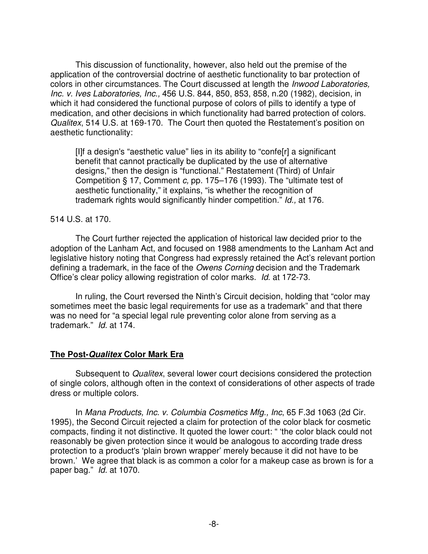This discussion of functionality, however, also held out the premise of the application of the controversial doctrine of aesthetic functionality to bar protection of colors in other circumstances. The Court discussed at length the *Inwood Laboratories, Inc. v. Ives Laboratories, Inc.,* 456 U.S. 844, 850, 853, 858, n.20 (1982), decision, in which it had considered the functional purpose of colors of pills to identify a type of medication, and other decisions in which functionality had barred protection of colors. *Qualitex*, 514 U.S. at 169-170. The Court then quoted the Restatement's position on aesthetic functionality:

[I]f a design's "aesthetic value" lies in its ability to "confe[r] a significant benefit that cannot practically be duplicated by the use of alternative designs," then the design is "functional." Restatement (Third) of Unfair Competition § 17, Comment *c,* pp. 175–176 (1993). The "ultimate test of aesthetic functionality," it explains, "is whether the recognition of trademark rights would significantly hinder competition." *Id.,* at 176.

#### 514 U.S. at 170.

The Court further rejected the application of historical law decided prior to the adoption of the Lanham Act, and focused on 1988 amendments to the Lanham Act and legislative history noting that Congress had expressly retained the Act's relevant portion defining a trademark, in the face of the *Owens Corning* decision and the Trademark Office's clear policy allowing registration of color marks. *Id*. at 172-73.

In ruling, the Court reversed the Ninth's Circuit decision, holding that "color may sometimes meet the basic legal requirements for use as a trademark" and that there was no need for "a special legal rule preventing color alone from serving as a trademark." *Id.* at 174.

#### **The Post-***Qualitex* **Color Mark Era**

Subsequent to *Qualitex*, several lower court decisions considered the protection of single colors, although often in the context of considerations of other aspects of trade dress or multiple colors.

In *Mana Products, Inc. v. Columbia Cosmetics Mfg., Inc*, 65 F.3d 1063 (2d Cir. 1995), the Second Circuit rejected a claim for protection of the color black for cosmetic compacts, finding it not distinctive. It quoted the lower court: " 'the color black could not reasonably be given protection since it would be analogous to according trade dress protection to a product's 'plain brown wrapper' merely because it did not have to be brown.' We agree that black is as common a color for a makeup case as brown is for a paper bag." *Id.* at 1070.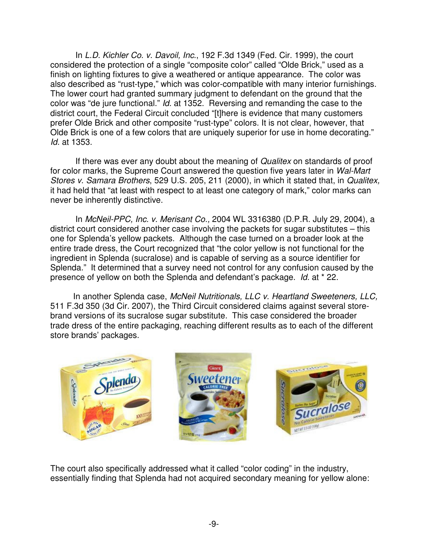In *L.D. Kichler Co. v. Davoil, Inc.*, 192 F.3d 1349 (Fed. Cir. 1999), the court considered the protection of a single "composite color" called "Olde Brick," used as a finish on lighting fixtures to give a weathered or antique appearance. The color was also described as "rust-type," which was color-compatible with many interior furnishings. The lower court had granted summary judgment to defendant on the ground that the color was "de jure functional." *Id.* at 1352. Reversing and remanding the case to the district court, the Federal Circuit concluded "[t]here is evidence that many customers prefer Olde Brick and other composite "rust-type" colors. It is not clear, however, that Olde Brick is one of a few colors that are uniquely superior for use in home decorating." *Id.* at 1353.

If there was ever any doubt about the meaning of *Qualitex* on standards of proof for color marks, the Supreme Court answered the question five years later in *Wal-Mart Stores v. Samara Brothers*, 529 U.S. 205, 211 (2000), in which it stated that, in *Qualitex,* it had held that "at least with respect to at least one category of mark," color marks can never be inherently distinctive.

In *McNeil-PPC, Inc. v. Merisant Co.,* 2004 WL 3316380 (D.P.R. July 29, 2004), a district court considered another case involving the packets for sugar substitutes – this one for Splenda's yellow packets. Although the case turned on a broader look at the entire trade dress, the Court recognized that "the color yellow is not functional for the ingredient in Splenda (sucralose) and is capable of serving as a source identifier for Splenda." It determined that a survey need not control for any confusion caused by the presence of yellow on both the Splenda and defendant's package. *Id.* at \* 22.

In another Splenda case, *McNeil Nutritionals, LLC v. Heartland Sweeteners, LLC,* 511 F.3d 350 (3d Cir. 2007), the Third Circuit considered claims against several storebrand versions of its sucralose sugar substitute. This case considered the broader trade dress of the entire packaging, reaching different results as to each of the different store brands' packages.



The court also specifically addressed what it called "color coding" in the industry, essentially finding that Splenda had not acquired secondary meaning for yellow alone: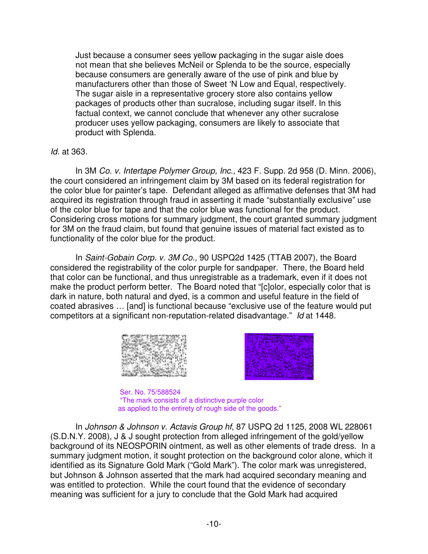Just because a consumer sees yellow packaging in the sugar aisle does not mean that she believes McNeil or Splenda to be the source, especially because consumers are generally aware of the use of pink and blue by manufacturers other than those of Sweet 'N Low and Equal, respectively. The sugar aisle in a representative grocery store also contains yellow packages of products other than sucralose, including sugar itself. In this factual context, we cannot conclude that whenever any other sucralose producer uses yellow packaging, consumers are likely to associate that product with Splenda.

## *Id.* at 363.

In 3M *Co. v. Intertape Polymer Group, Inc.,* 423 F. Supp. 2d 958 (D. Minn. 2006), the court considered an infringement claim by 3M based on its federal registration for the color blue for painter's tape. Defendant alleged as affirmative defenses that 3M had acquired its registration through fraud in asserting it made "substantially exclusive" use of the color blue for tape and that the color blue was functional for the product. Considering cross motions for summary judgment, the court granted summary judgment for 3M on the fraud claim, but found that genuine issues of material fact existed as to functionality of the color blue for the product.

In *Saint-Gobain Corp. v. 3M Co.,* 90 USPQ2d 1425 (TTAB 2007), the Board considered the registrability of the color purple for sandpaper. There, the Board held that color can be functional, and thus unregistrable as a trademark, even if it does not make the product perform better. The Board noted that "[c]olor, especially color that is dark in nature, both natural and dyed, is a common and useful feature in the field of coated abrasives … [and] is functional because "exclusive use of the feature would put competitors at a significant non-reputation-related disadvantage." *Id* at 1448.





Ser. No. 75/588524 "The mark consists of a distinctive purple color as applied to the entirety of rough side of the goods."

In *Johnson & Johnson v. Actavis Group hf*, 87 USPQ 2d 1125, 2008 WL 228061 (S.D.N.Y. 2008), J & J sought protection from alleged infringement of the gold/yellow background of its NEOSPORIN ointment, as well as other elements of trade dress. In a summary judgment motion, it sought protection on the background color alone, which it identified as its Signature Gold Mark ("Gold Mark"). The color mark was unregistered, but Johnson & Johnson asserted that the mark had acquired secondary meaning and was entitled to protection. While the court found that the evidence of secondary meaning was sufficient for a jury to conclude that the Gold Mark had acquired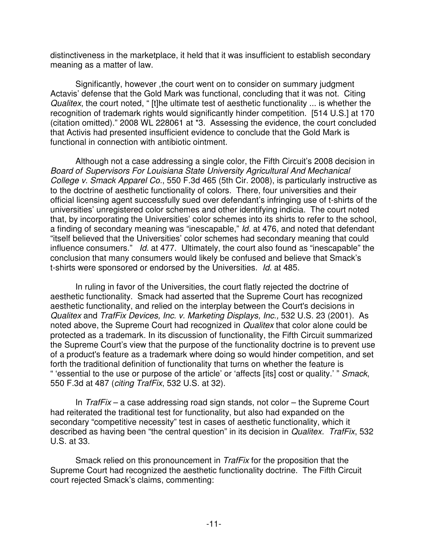distinctiveness in the marketplace, it held that it was insufficient to establish secondary meaning as a matter of law.

Significantly, however ,the court went on to consider on summary judgment Actavis' defense that the Gold Mark was functional, concluding that it was not. Citing *Qualitex*, the court noted, " [t]he ultimate test of aesthetic functionality ... is whether the recognition of trademark rights would significantly hinder competition. [514 U.S.] at 170 (citation omitted)." 2008 WL 228061 at \*3. Assessing the evidence, the court concluded that Activis had presented insufficient evidence to conclude that the Gold Mark is functional in connection with antibiotic ointment.

Although not a case addressing a single color, the Fifth Circuit's 2008 decision in *Board of Supervisors For Louisiana State University Agricultural And Mechanical College v. Smack Apparel Co.*, 550 F.3d 465 (5th Cir. 2008), is particularly instructive as to the doctrine of aesthetic functionality of colors. There, four universities and their official licensing agent successfully sued over defendant's infringing use of t-shirts of the universities' unregistered color schemes and other identifying indicia. The court noted that, by incorporating the Universities' color schemes into its shirts to refer to the school, a finding of secondary meaning was "inescapable," *Id.* at 476, and noted that defendant "itself believed that the Universities' color schemes had secondary meaning that could influence consumers." *Id.* at 477. Ultimately, the court also found as "inescapable" the conclusion that many consumers would likely be confused and believe that Smack's t-shirts were sponsored or endorsed by the Universities. *Id.* at 485.

In ruling in favor of the Universities, the court flatly rejected the doctrine of aesthetic functionality. Smack had asserted that the Supreme Court has recognized aesthetic functionality, and relied on the interplay between the Court's decisions in *Qualitex* and *TrafFix Devices, Inc. v. Marketing Displays, Inc.,* 532 U.S. 23 (2001). As noted above, the Supreme Court had recognized in *Qualitex* that color alone could be protected as a trademark. In its discussion of functionality, the Fifth Circuit summarized the Supreme Court's view that the purpose of the functionality doctrine is to prevent use of a product's feature as a trademark where doing so would hinder competition, and set forth the traditional definition of functionality that turns on whether the feature is " 'essential to the use or purpose of the article' or 'affects [its] cost or quality.' " *Smack*, 550 F.3d at 487 (*citing TrafFix*, 532 U.S. at 32).

In *TrafFix* – a case addressing road sign stands, not color – the Supreme Court had reiterated the traditional test for functionality, but also had expanded on the secondary "competitive necessity" test in cases of aesthetic functionality, which it described as having been "the central question" in its decision in *Qualitex. TrafFix*, 532 U.S. at 33.

Smack relied on this pronouncement in *TrafFix* for the proposition that the Supreme Court had recognized the aesthetic functionality doctrine. The Fifth Circuit court rejected Smack's claims, commenting: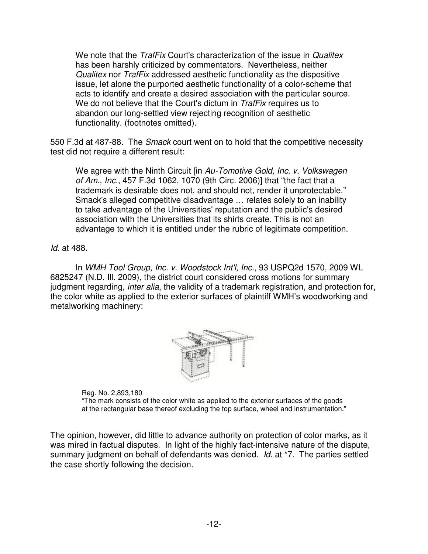We note that the *TrafFix* Court's characterization of the issue in *Qualitex* has been harshly criticized by commentators. Nevertheless, neither *Qualitex* nor *TrafFix* addressed aesthetic functionality as the dispositive issue, let alone the purported aesthetic functionality of a color-scheme that acts to identify and create a desired association with the particular source. We do not believe that the Court's dictum in *TrafFix* requires us to abandon our long-settled view rejecting recognition of aesthetic functionality. (footnotes omitted).

550 F.3d at 487-88. The *Smack* court went on to hold that the competitive necessity test did not require a different result:

We agree with the Ninth Circuit [in *Au-Tomotive Gold, Inc. v. Volkswagen of Am., Inc.*, 457 F.3d 1062, 1070 (9th Circ. 2006)] that "the fact that a trademark is desirable does not, and should not, render it unprotectable." Smack's alleged competitive disadvantage … relates solely to an inability to take advantage of the Universities'reputation and the public's desired association with the Universities that its shirts create. This is not an advantage to which it is entitled under the rubric of legitimate competition.

*Id.* at 488.

In *WMH Tool Group, Inc. v. Woodstock Int'l, Inc.*, 93 USPQ2d 1570, 2009 WL 6825247 (N.D. Ill. 2009), the district court considered cross motions for summary judgment regarding, *inter alia*, the validity of a trademark registration, and protection for, the color white as applied to the exterior surfaces of plaintiff WMH's woodworking and metalworking machinery:



Reg. No. 2,893,180

"The mark consists of the color white as applied to the exterior surfaces of the goods at the rectangular base thereof excluding the top surface, wheel and instrumentation."

The opinion, however, did little to advance authority on protection of color marks, as it was mired in factual disputes. In light of the highly fact-intensive nature of the dispute, summary judgment on behalf of defendants was denied. *Id.* at \*7. The parties settled the case shortly following the decision.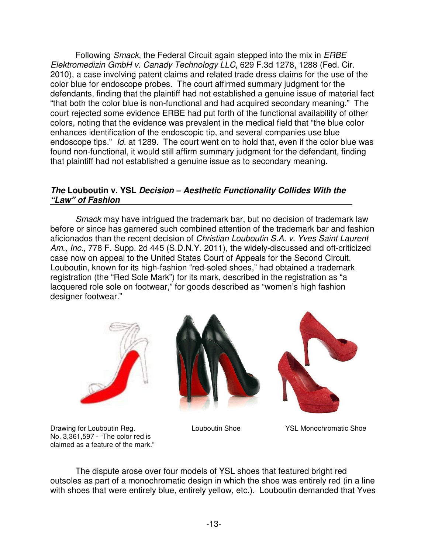Following *Smack*, the Federal Circuit again stepped into the mix in *ERBE Elektromedizin GmbH v. Canady Technology LLC*, 629 F.3d 1278, 1288 (Fed. Cir. 2010), a case involving patent claims and related trade dress claims for the use of the color blue for endoscope probes. The court affirmed summary judgment for the defendants, finding that the plaintiff had not established a genuine issue of material fact "that both the color blue is non-functional and had acquired secondary meaning." The court rejected some evidence ERBE had put forth of the functional availability of other colors, noting that the evidence was prevalent in the medical field that "the blue color enhances identification of the endoscopic tip, and several companies use blue endoscope tips." *Id.* at 1289. The court went on to hold that, even if the color blue was found non-functional, it would still affirm summary judgment for the defendant, finding that plaintiff had not established a genuine issue as to secondary meaning.

## *The* **Louboutin v. YSL** *Decision – Aesthetic Functionality Collides With the "Law" of Fashion*

*Smack* may have intrigued the trademark bar, but no decision of trademark law before or since has garnered such combined attention of the trademark bar and fashion aficionados than the recent decision of *Christian Louboutin S.A. v. Yves Saint Laurent Am., Inc.,* 778 F. Supp. 2d 445 (S.D.N.Y. 2011), the widely-discussed and oft-criticized case now on appeal to the United States Court of Appeals for the Second Circuit. Louboutin, known for its high-fashion "red-soled shoes," had obtained a trademark registration (the "Red Sole Mark") for its mark, described in the registration as "a lacquered role sole on footwear," for goods described as "women's high fashion designer footwear."







Drawing for Louboutin Reg. Louboutin Shoe YSL Monochromatic Shoe No. 3,361,597 - "The color red is claimed as a feature of the mark."

The dispute arose over four models of YSL shoes that featured bright red outsoles as part of a monochromatic design in which the shoe was entirely red (in a line with shoes that were entirely blue, entirely yellow, etc.). Louboutin demanded that Yves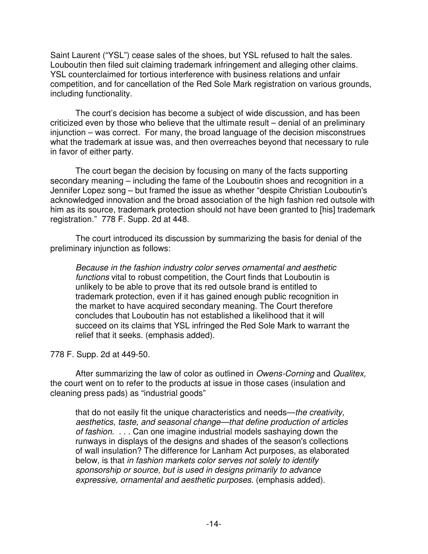Saint Laurent ("YSL") cease sales of the shoes, but YSL refused to halt the sales. Louboutin then filed suit claiming trademark infringement and alleging other claims. YSL counterclaimed for tortious interference with business relations and unfair competition, and for cancellation of the Red Sole Mark registration on various grounds, including functionality.

The court's decision has become a subject of wide discussion, and has been criticized even by those who believe that the ultimate result – denial of an preliminary injunction – was correct. For many, the broad language of the decision misconstrues what the trademark at issue was, and then overreaches beyond that necessary to rule in favor of either party.

The court began the decision by focusing on many of the facts supporting secondary meaning – including the fame of the Louboutin shoes and recognition in a Jennifer Lopez song – but framed the issue as whether "despite Christian Louboutin's acknowledged innovation and the broad association of the high fashion red outsole with him as its source, trademark protection should not have been granted to [his] trademark registration." 778 F. Supp. 2d at 448.

The court introduced its discussion by summarizing the basis for denial of the preliminary injunction as follows:

*Because in the fashion industry color serves ornamental and aesthetic functions* vital to robust competition, the Court finds that Louboutin is unlikely to be able to prove that its red outsole brand is entitled to trademark protection, even if it has gained enough public recognition in the market to have acquired secondary meaning. The Court therefore concludes that Louboutin has not established a likelihood that it will succeed on its claims that YSL infringed the Red Sole Mark to warrant the relief that it seeks. (emphasis added).

778 F. Supp. 2d at 449-50.

After summarizing the law of color as outlined in *Owens-Corning* and *Qualitex,* the court went on to refer to the products at issue in those cases (insulation and cleaning press pads) as "industrial goods"

that do not easily fit the unique characteristics and needs—*the creativity, aesthetics, taste, and seasonal change—that define production of articles of fashion*. . . . Can one imagine industrial models sashaying down the runways in displays of the designs and shades of the season's collections of wall insulation? The difference for Lanham Act purposes, as elaborated below, is that *in fashion markets color serves not solely to identify sponsorship or source, but is used in designs primarily to advance expressive, ornamental and aesthetic purposes*. (emphasis added).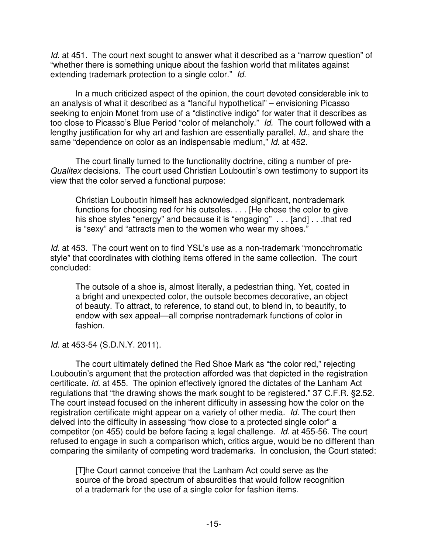*Id.* at 451. The court next sought to answer what it described as a "narrow question" of "whether there is something unique about the fashion world that militates against extending trademark protection to a single color." *Id.*

In a much criticized aspect of the opinion, the court devoted considerable ink to an analysis of what it described as a "fanciful hypothetical" – envisioning Picasso seeking to enjoin Monet from use of a "distinctive indigo" for water that it describes as too close to Picasso's Blue Period "color of melancholy." *Id.* The court followed with a lengthy justification for why art and fashion are essentially parallel, *Id.*, and share the same "dependence on color as an indispensable medium," *Id.* at 452.

The court finally turned to the functionality doctrine, citing a number of pre-*Qualitex* decisions. The court used Christian Louboutin's own testimony to support its view that the color served a functional purpose:

Christian Louboutin himself has acknowledged significant, nontrademark functions for choosing red for his outsoles. . . . [He chose the color to give his shoe styles "energy" and because it is "engaging" . . . [and] . . . that red is "sexy" and "attracts men to the women who wear my shoes."

*Id.* at 453. The court went on to find YSL's use as a non-trademark "monochromatic style" that coordinates with clothing items offered in the same collection. The court concluded:

The outsole of a shoe is, almost literally, a pedestrian thing. Yet, coated in a bright and unexpected color, the outsole becomes decorative, an object of beauty. To attract, to reference, to stand out, to blend in, to beautify, to endow with sex appeal—all comprise nontrademark functions of color in fashion.

*Id.* at 453-54 (S.D.N.Y. 2011).

The court ultimately defined the Red Shoe Mark as "the color red," rejecting Louboutin's argument that the protection afforded was that depicted in the registration certificate. *Id.* at 455. The opinion effectively ignored the dictates of the Lanham Act regulations that "the drawing shows the mark sought to be registered." 37 C.F.R. §2.52. The court instead focused on the inherent difficulty in assessing how the color on the registration certificate might appear on a variety of other media. *Id.* The court then delved into the difficulty in assessing "how close to a protected single color" a competitor (on 455) could be before facing a legal challenge. *Id.* at 455-56. The court refused to engage in such a comparison which, critics argue, would be no different than comparing the similarity of competing word trademarks. In conclusion, the Court stated:

[T]he Court cannot conceive that the Lanham Act could serve as the source of the broad spectrum of absurdities that would follow recognition of a trademark for the use of a single color for fashion items.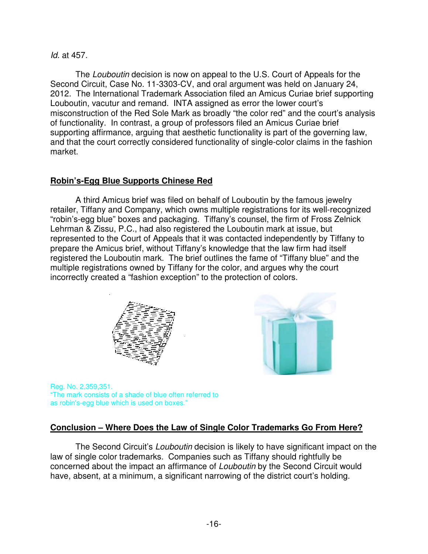## *Id.* at 457.

The *Louboutin* decision is now on appeal to the U.S. Court of Appeals for the Second Circuit, Case No. 11-3303-CV, and oral argument was held on January 24, 2012. The International Trademark Association filed an Amicus Curiae brief supporting Louboutin, vacutur and remand. INTA assigned as error the lower court's misconstruction of the Red Sole Mark as broadly "the color red" and the court's analysis of functionality. In contrast, a group of professors filed an Amicus Curiae brief supporting affirmance, arguing that aesthetic functionality is part of the governing law, and that the court correctly considered functionality of single-color claims in the fashion market.

# **Robin's-Egg Blue Supports Chinese Red**

A third Amicus brief was filed on behalf of Louboutin by the famous jewelry retailer, Tiffany and Company, which owns multiple registrations for its well-recognized "robin's-egg blue" boxes and packaging. Tiffany's counsel, the firm of Fross Zelnick Lehrman & Zissu, P.C., had also registered the Louboutin mark at issue, but represented to the Court of Appeals that it was contacted independently by Tiffany to prepare the Amicus brief, without Tiffany's knowledge that the law firm had itself registered the Louboutin mark. The brief outlines the fame of "Tiffany blue" and the multiple registrations owned by Tiffany for the color, and argues why the court incorrectly created a "fashion exception" to the protection of colors.





Reg. No. 2,359,351. "The mark consists of a shade of blue often referred to as robin's-egg blue which is used on boxes."

# **Conclusion – Where Does the Law of Single Color Trademarks Go From Here?**

The Second Circuit's *Louboutin* decision is likely to have significant impact on the law of single color trademarks. Companies such as Tiffany should rightfully be concerned about the impact an affirmance of *Louboutin* by the Second Circuit would have, absent, at a minimum, a significant narrowing of the district court's holding.